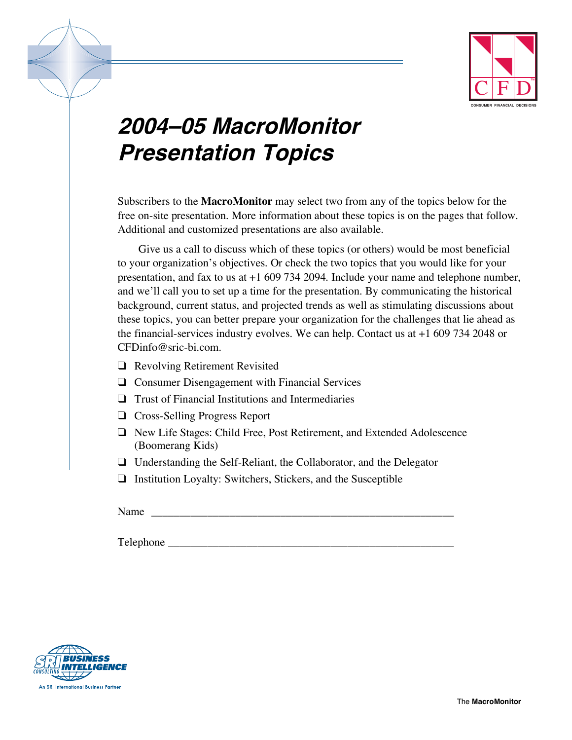

# **2004ñ05 MacroMonitor Presentation Topics**

Subscribers to the **MacroMonitor** may select two from any of the topics below for the free on-site presentation. More information about these topics is on the pages that follow. Additional and customized presentations are also available.

Give us a call to discuss which of these topics (or others) would be most beneficial to your organization's objectives. Or check the two topics that you would like for your presentation, and fax to us at +1 609 734 2094. Include your name and telephone number, and we'll call you to set up a time for the presentation. By communicating the historical background, current status, and projected trends as well as stimulating discussions about these topics, you can better prepare your organization for the challenges that lie ahead as the financial-services industry evolves. We can help. Contact us at +1 609 734 2048 or CFDinfo@sric-bi.com.

- ❑ Revolving Retirement Revisited
- ❑ Consumer Disengagement with Financial Services
- ❑ Trust of Financial Institutions and Intermediaries
- ❑ Cross-Selling Progress Report
- ❑ New Life Stages: Child Free, Post Retirement, and Extended Adolescence (Boomerang Kids)
- ❑ Understanding the Self-Reliant, the Collaborator, and the Delegator
- ❑ Institution Loyalty: Switchers, Stickers, and the Susceptible

Name

Telephone \_\_\_\_\_\_\_\_\_\_\_\_\_\_\_\_\_\_\_\_\_\_\_\_\_\_\_\_\_\_\_\_\_\_\_\_\_\_\_\_\_\_\_\_\_\_\_\_\_\_\_

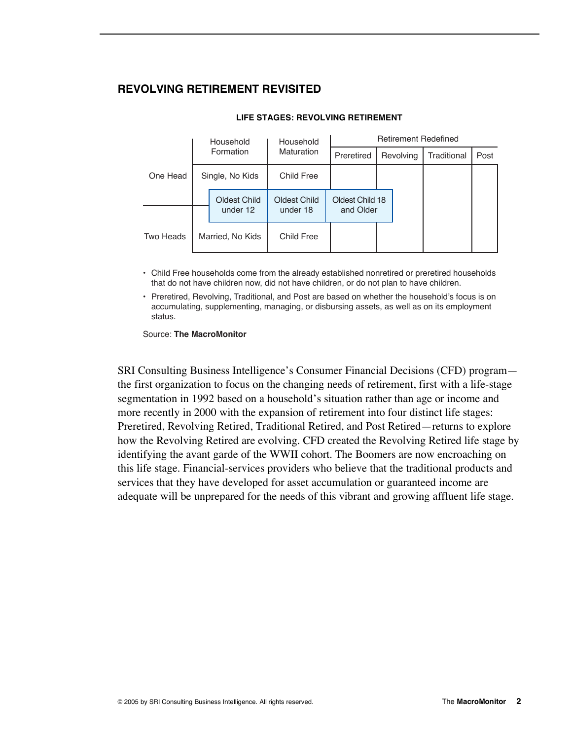## **REVOLVING RETIREMENT REVISITED**

|           | Household        |                          | Household                | <b>Retirement Redefined</b>  |           |  |             |      |
|-----------|------------------|--------------------------|--------------------------|------------------------------|-----------|--|-------------|------|
|           |                  | Formation                | Maturation               | Preretired                   | Revolving |  | Traditional | Post |
| One Head  | Single, No Kids  |                          | Child Free               |                              |           |  |             |      |
|           |                  | Oldest Child<br>under 12 | Oldest Child<br>under 18 | Oldest Child 18<br>and Older |           |  |             |      |
| Two Heads | Married, No Kids |                          | Child Free               |                              |           |  |             |      |

#### **LIFE STAGES: REVOLVING RETIREMENT**

• Child Free households come from the already established nonretired or preretired households that do not have children now, did not have children, or do not plan to have children.

• Preretired, Revolving, Traditional, and Post are based on whether the household's focus is on accumulating, supplementing, managing, or disbursing assets, as well as on its employment status.

Source: **The MacroMonitor**

SRI Consulting Business Intelligence's Consumer Financial Decisions (CFD) program the first organization to focus on the changing needs of retirement, first with a life-stage segmentation in 1992 based on a household's situation rather than age or income and more recently in 2000 with the expansion of retirement into four distinct life stages: Preretired, Revolving Retired, Traditional Retired, and Post Retired–returns to explore how the Revolving Retired are evolving. CFD created the Revolving Retired life stage by identifying the avant garde of the WWII cohort. The Boomers are now encroaching on this life stage. Financial-services providers who believe that the traditional products and services that they have developed for asset accumulation or guaranteed income are adequate will be unprepared for the needs of this vibrant and growing affluent life stage.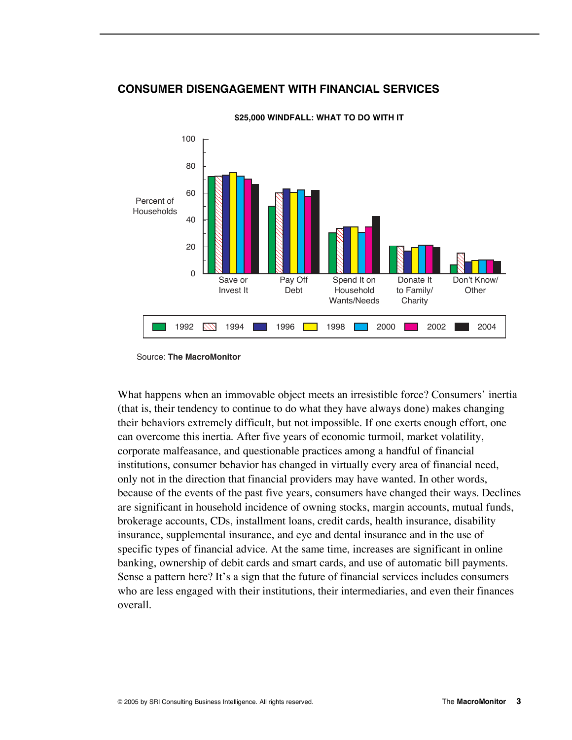## **CONSUMER DISENGAGEMENT WITH FINANCIAL SERVICES**



**\$25,000 WINDFALL: WHAT TO DO WITH IT** 

What happens when an immovable object meets an irresistible force? Consumers' inertia (that is, their tendency to continue to do what they have always done) makes changing their behaviors extremely difficult, but not impossible. If one exerts enough effort, one can overcome this inertia. After five years of economic turmoil, market volatility, corporate malfeasance, and questionable practices among a handful of financial institutions, consumer behavior has changed in virtually every area of financial need, only not in the direction that financial providers may have wanted. In other words, because of the events of the past five years, consumers have changed their ways. Declines are significant in household incidence of owning stocks, margin accounts, mutual funds, brokerage accounts, CDs, installment loans, credit cards, health insurance, disability insurance, supplemental insurance, and eye and dental insurance and in the use of specific types of financial advice. At the same time, increases are significant in online banking, ownership of debit cards and smart cards, and use of automatic bill payments. Sense a pattern here? It's a sign that the future of financial services includes consumers who are less engaged with their institutions, their intermediaries, and even their finances overall.

Source: **The MacroMonitor**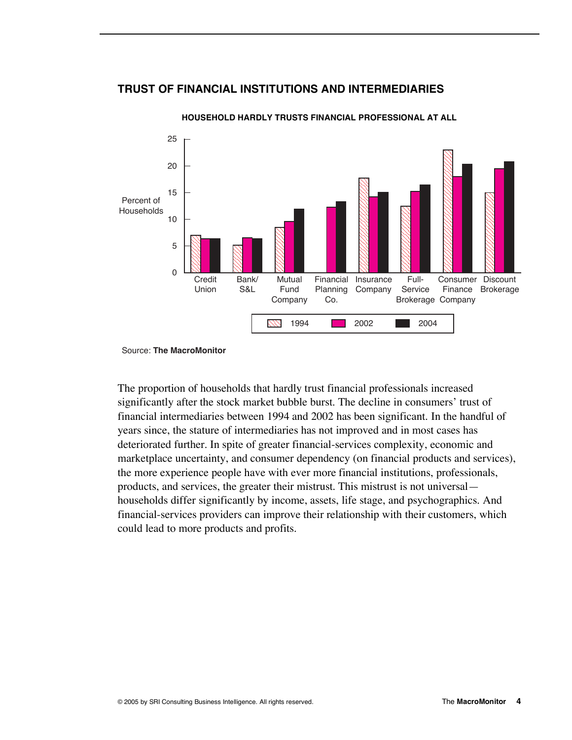### **TRUST OF FINANCIAL INSTITUTIONS AND INTERMEDIARIES**



#### **HOUSEHOLD HARDLY TRUSTS FINANCIAL PROFESSIONAL AT ALL**

The proportion of households that hardly trust financial professionals increased significantly after the stock market bubble burst. The decline in consumers' trust of financial intermediaries between 1994 and 2002 has been significant. In the handful of years since, the stature of intermediaries has not improved and in most cases has deteriorated further. In spite of greater financial-services complexity, economic and marketplace uncertainty, and consumer dependency (on financial products and services), the more experience people have with ever more financial institutions, professionals, products, and services, the greater their mistrust. This mistrust is not universal households differ significantly by income, assets, life stage, and psychographics. And financial-services providers can improve their relationship with their customers, which could lead to more products and profits.

Source: **The MacroMonitor**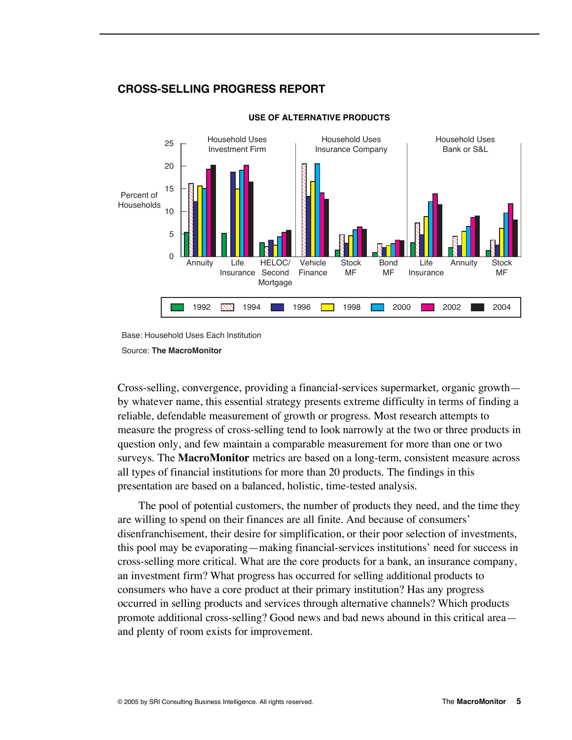## **CROSS-SELLING PROGRESS REPORT**



#### **USE OF ALTERNATIVE PRODUCTS**

Base: Household Uses Each Institution

#### Source: **The MacroMonitor**

Cross-selling, convergence, providing a financial-services supermarket, organic growthby whatever name, this essential strategy presents extreme difficulty in terms of finding a reliable, defendable measurement of growth or progress. Most research attempts to measure the progress of cross-selling tend to look narrowly at the two or three products in question only, and few maintain a comparable measurement for more than one or two surveys. The **MacroMonitor** metrics are based on a long-term, consistent measure across all types of financial institutions for more than 20 products. The findings in this presentation are based on a balanced, holistic, time-tested analysis.

The pool of potential customers, the number of products they need, and the time they are willing to spend on their finances are all finite. And because of consumers' disenfranchisement, their desire for simplification, or their poor selection of investments, this pool may be evaporating—making financial-services institutions' need for success in cross-selling more critical. What are the core products for a bank, an insurance company, an investment firm? What progress has occurred for selling additional products to consumers who have a core product at their primary institution? Has any progress occurred in selling products and services through alternative channels? Which products promote additional cross-selling? Good news and bad news abound in this critical area and plenty of room exists for improvement.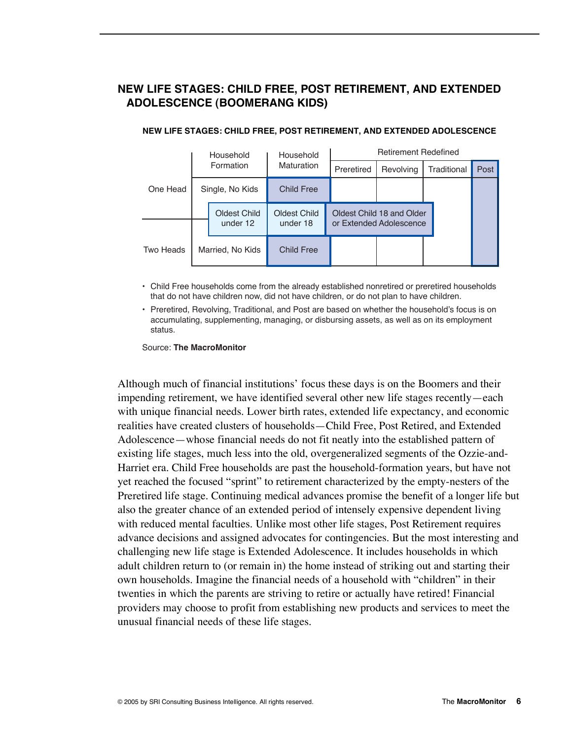# **NEW LIFE STAGES: CHILD FREE, POST RETIREMENT, AND EXTENDED ADOLESCENCE (BOOMERANG KIDS)**

|           | Household        |                          | Household                | <b>Retirement Redefined</b> |                                                      |             |      |  |
|-----------|------------------|--------------------------|--------------------------|-----------------------------|------------------------------------------------------|-------------|------|--|
| One Head  |                  | Formation                | <b>Maturation</b>        | Preretired                  | Revolving                                            | Traditional | Post |  |
|           | Single, No Kids  |                          | <b>Child Free</b>        |                             |                                                      |             |      |  |
|           |                  | Oldest Child<br>under 12 | Oldest Child<br>under 18 |                             | Oldest Child 18 and Older<br>or Extended Adolescence |             |      |  |
| Two Heads | Married, No Kids |                          | <b>Child Free</b>        |                             |                                                      |             |      |  |

#### **NEW LIFE STAGES: CHILD FREE, POST RETIREMENT, AND EXTENDED ADOLESCENCE**

• Child Free households come from the already established nonretired or preretired households that do not have children now, did not have children, or do not plan to have children.

• Preretired, Revolving, Traditional, and Post are based on whether the household's focus is on accumulating, supplementing, managing, or disbursing assets, as well as on its employment status.

Source: **The MacroMonitor**

Although much of financial institutions' focus these days is on the Boomers and their impending retirement, we have identified several other new life stages recently—each with unique financial needs. Lower birth rates, extended life expectancy, and economic realities have created clusters of households—Child Free, Post Retired, and Extended Adolescence—whose financial needs do not fit neatly into the established pattern of existing life stages, much less into the old, overgeneralized segments of the Ozzie-and-Harriet era. Child Free households are past the household-formation years, but have not yet reached the focused "sprint" to retirement characterized by the empty-nesters of the Preretired life stage. Continuing medical advances promise the benefit of a longer life but also the greater chance of an extended period of intensely expensive dependent living with reduced mental faculties. Unlike most other life stages, Post Retirement requires advance decisions and assigned advocates for contingencies. But the most interesting and challenging new life stage is Extended Adolescence. It includes households in which adult children return to (or remain in) the home instead of striking out and starting their own households. Imagine the financial needs of a household with "children" in their twenties in which the parents are striving to retire or actually have retired! Financial providers may choose to profit from establishing new products and services to meet the unusual financial needs of these life stages.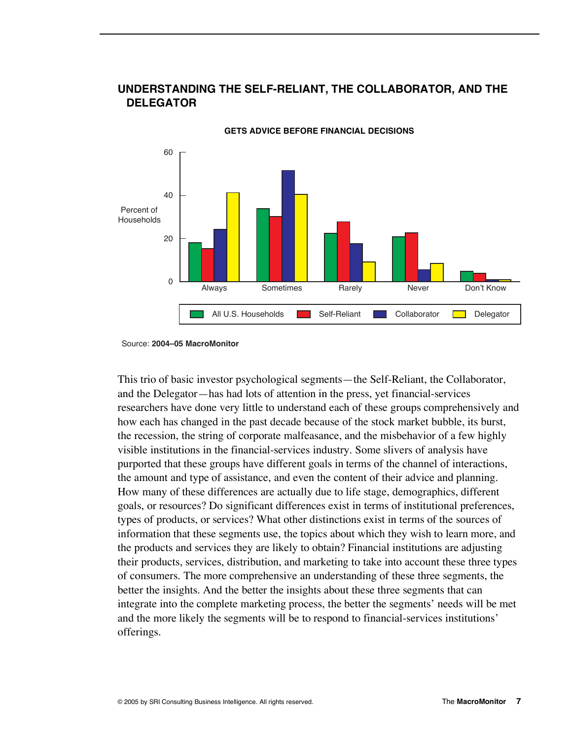

# **UNDERSTANDING THE SELF-RELIANT, THE COLLABORATOR, AND THE DELEGATOR**

**GETS ADVICE BEFORE FINANCIAL DECISIONS** 

This trio of basic investor psychological segments—the Self-Reliant, the Collaborator, and the Delegator—has had lots of attention in the press, yet financial-services researchers have done very little to understand each of these groups comprehensively and how each has changed in the past decade because of the stock market bubble, its burst, the recession, the string of corporate malfeasance, and the misbehavior of a few highly visible institutions in the financial-services industry. Some slivers of analysis have purported that these groups have different goals in terms of the channel of interactions, the amount and type of assistance, and even the content of their advice and planning. How many of these differences are actually due to life stage, demographics, different goals, or resources? Do significant differences exist in terms of institutional preferences, types of products, or services? What other distinctions exist in terms of the sources of information that these segments use, the topics about which they wish to learn more, and the products and services they are likely to obtain? Financial institutions are adjusting their products, services, distribution, and marketing to take into account these three types of consumers. The more comprehensive an understanding of these three segments, the better the insights. And the better the insights about these three segments that can integrate into the complete marketing process, the better the segments' needs will be met and the more likely the segments will be to respond to financial-services institutions' offerings.

Source: 2004-05 MacroMonitor